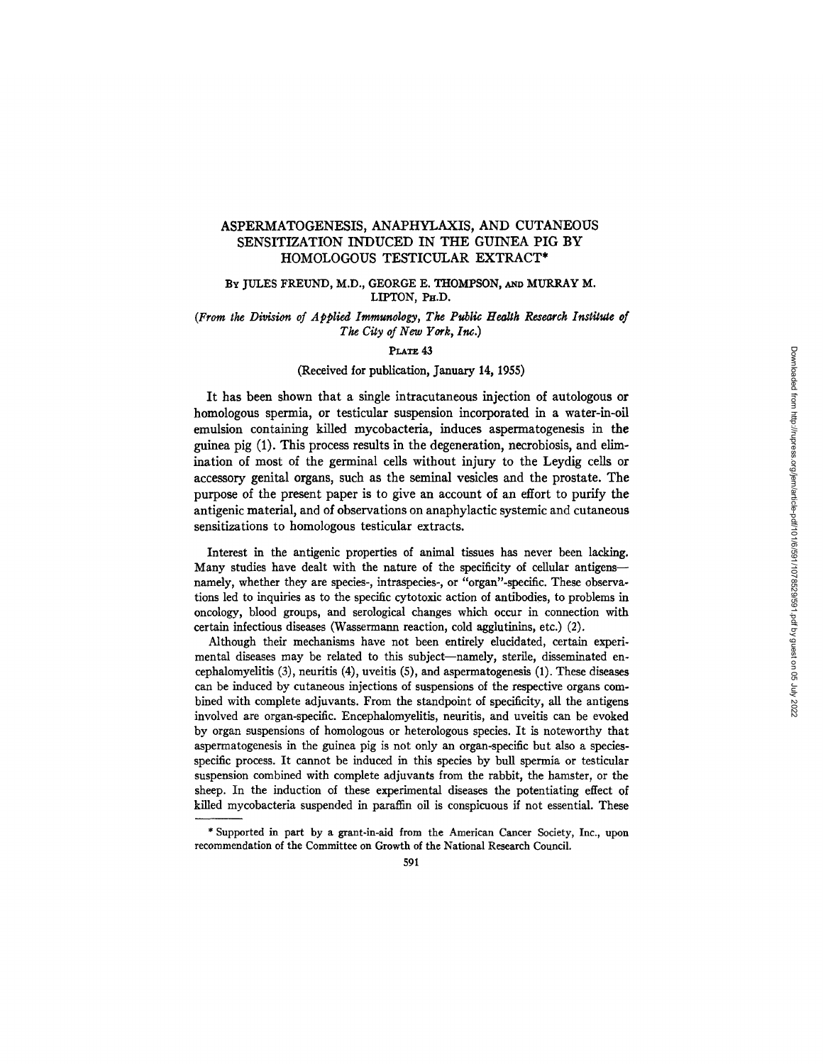# ASPERMATOGENESIS, ANAPHYLAXIS, AND CUTANEOUS SENSITIZATION INDUCED IN THE GUINEA PIG BY HOMOLOGOUS TESTICULAR EXTRACT\*

## BY JULES FREUND, M.D., GEORGE E. THOMPSON, ANO MURRAY M. LIPTON, PH.D.

*(From the Division of Applied Immunology, The Public Health Research Institute of The City of New York, Inc.*)

**PLATE 43** 

## (Received for publication, January 14, 1955)

It has been shown that a single intracutaneous injection of autologous or homologous spermia, or testicular suspension incorporated in a water-in-oil emulsion containing killed mycobacteria, induces aspermatogenesis in the guinea pig (1). This process results in the degeneration, necrobiosis, and elimination of most of the germinal cells without injury to the Leydig cells or accessory genital organs, such as the seminal vesicles and the prostate. The purpose of the present paper is to give an account of an effort to purify the antigenic material, and of observations on anaphylactic systemic and cutaneous sensitizations to homologous testicular extracts.

Interest in the antigenic properties of animal tissues has never been lacking. Many studies have dealt with the nature of the specificity of cellular antigens- namely, whether they are species-, intraspecies-, or "organ"-specific. These observations led to inquiries as to the specific cytotoxic action of antibodies, to problems in oncology, blood groups, and serological changes which occur in connection with certain infectious diseases (Wassermann reaction, cold agglutinins, etc.) (2).

Although their mechanisms have not been entirely elucidated, certain experimental diseases may be related to this subject--namely, sterile, disseminated encephalomyelitis (3), neuritis (4), uveitis (5), and aspermatogenesis (1). These diseases can be induced by cutaneous injections of suspensions of the respective organs combined with complete adjuvants. From the standpoint of specificity, all the antigens involved are organ-specific. Encephalomyelitis, neuritis, and uveitis can be evoked by organ suspensions of homologous or heterologous species. It is noteworthy that aspermatogenesis in the guinea pig is not only an organ-specific but also a speciesspecific process. It cannot be induced in this species by bull spermia or testicular suspension combined with complete adjuvants from the rabbit, the hamster, or the sheep. In the induction of these experimental diseases the potentiating effect of killed mycobacteria suspended in paraffin oil is conspicuous if not essential. These

<sup>\*</sup> Supported in part by a grant-in-aid from the American Cancer Society, Inc., upon recommendation of the Committee on Growth of the National Research Council.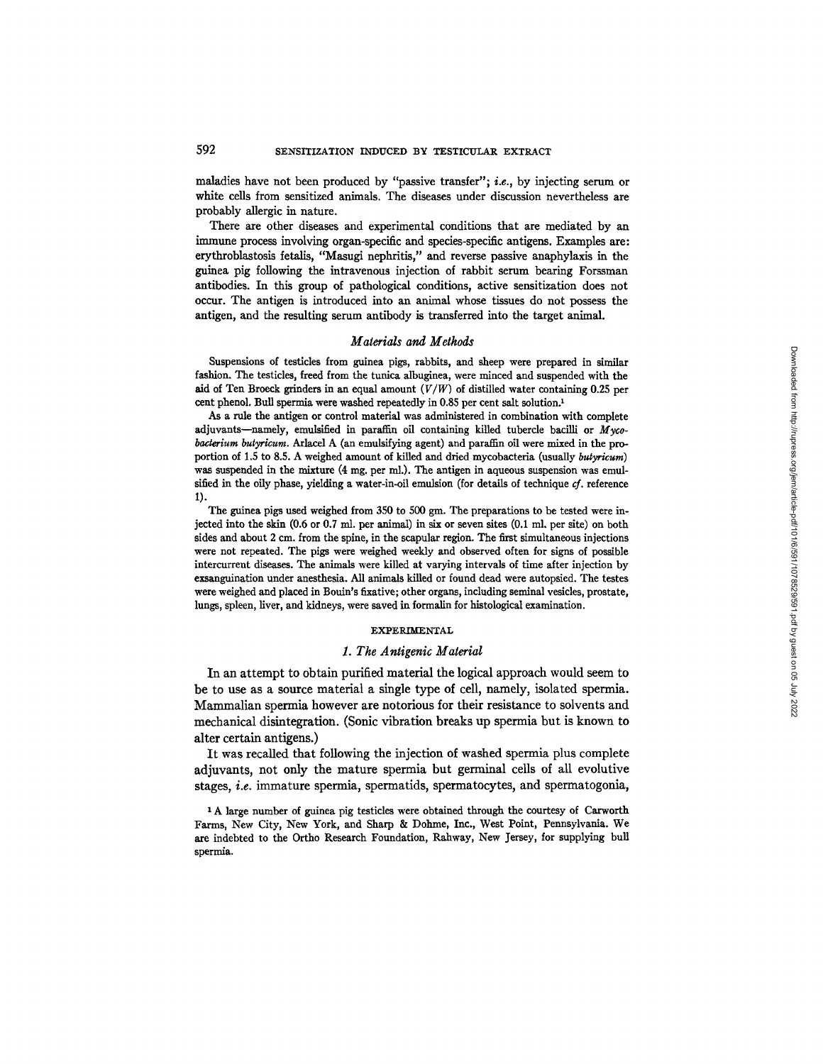maladies have not been produced by "passive transfer"; *i.e.,* by injecting serum or white cells from sensitized animals. The diseases under discussion nevertheless are probably allergic in nature.

There are other diseases and experimental conditions that are mediated by an immune process involving organ-specific and species-specific antigens. Examples are: erythroblastosis fetalis, "Masugi nephritis," and reverse passive anaphylaxis in the guinea pig following the intravenous injection of rabbit serum bearing Forssman antibodies. In this group of pathological conditions, active sensitization does not occur. The antigen is introduced into an animal whose tissues do not possess the antigen, and the resulting serum antibody is transferred into the target animal.

## *Materials and Methods*

Suspensions of testicles from guinea pigs, rabbits, and sheep were prepared in similar fashion. The testicles, freed from the tunics albuginea, were minced and suspended with the aid of Ten Broeck grinders in an equal amount *(V/W)* of distilled water containing 0.25 per cent phenol. Bull spermia were washed repeatedly in 0.85 per cent salt solution.<sup>1</sup>

As a rule the antigen or control material was administered in combination with complete adjuvants-namely, emulsified in paraffin oil containing killed tubercle bacilli or *Myco*bacterium butyricum. Arlacel A (an emulsifying agent) and paraffin oil were mixed in the proportion of 1.5 to 8.5. A weighed amount of killed and dried mycobacteria (usually *butyricum)*  was suspended in the mixture (4 mg. per ml.). The antigen in aqueous suspension was emulsifted in the oily phase, yielding a water-in-oil emulsion (for details of technique *of.* reference 1).

The guinea pigs used weighed from 350 to 500 gm. The preparations to be tested were injected into the skin (0.6 or 0.7 mi. per animal) in six or seven sites (0.1 ml. per site) on both sides and about 2 cm. from the spine, in the scapular region. The first simultaneous injections were not repeated. The pigs were weighed weekly and observed often for signs of possible intercurrent diseases. The animals were killed at varying intervals of time after injection by exsanguination under anesthesia. All animals killed or found dead were autopsied. The testes were weighed and placed in Bouin's fixative; other organs, including seminal vesicles, prostate, lungs, spleen, liver, and kidneys, were saved in formalin for histological examination.

#### EXPERIMENTAL

### *1. The Antigenic Material*

In an attempt to obtain purified material the logical approach would seem to be to use as a source material a single type of cell, namely, isolated spermia. Mammalian spermia however are notorious for their resistance to solvents and mechanical disintegration. (Sonic vibration breaks up spermia but is known to alter certain antigens.)

It was recalled that following the injection of washed spermia plus complete adjuvants, not only the mature spermia but germinal ceils of all evolutive stages, *i.e.* immature spermia, spermatids, spermatocytes, and spermatogonia,

<sup>&</sup>lt;sup>1</sup> A large number of guinea pig testicles were obtained through the courtesy of Carworth Farms, New City, New York, and Sharp & Dohme, Inc., West Point, Pennsylvania. We are indebted to the Ortho Research Foundation, Rahway, New Jersey, for supplying bull spermia.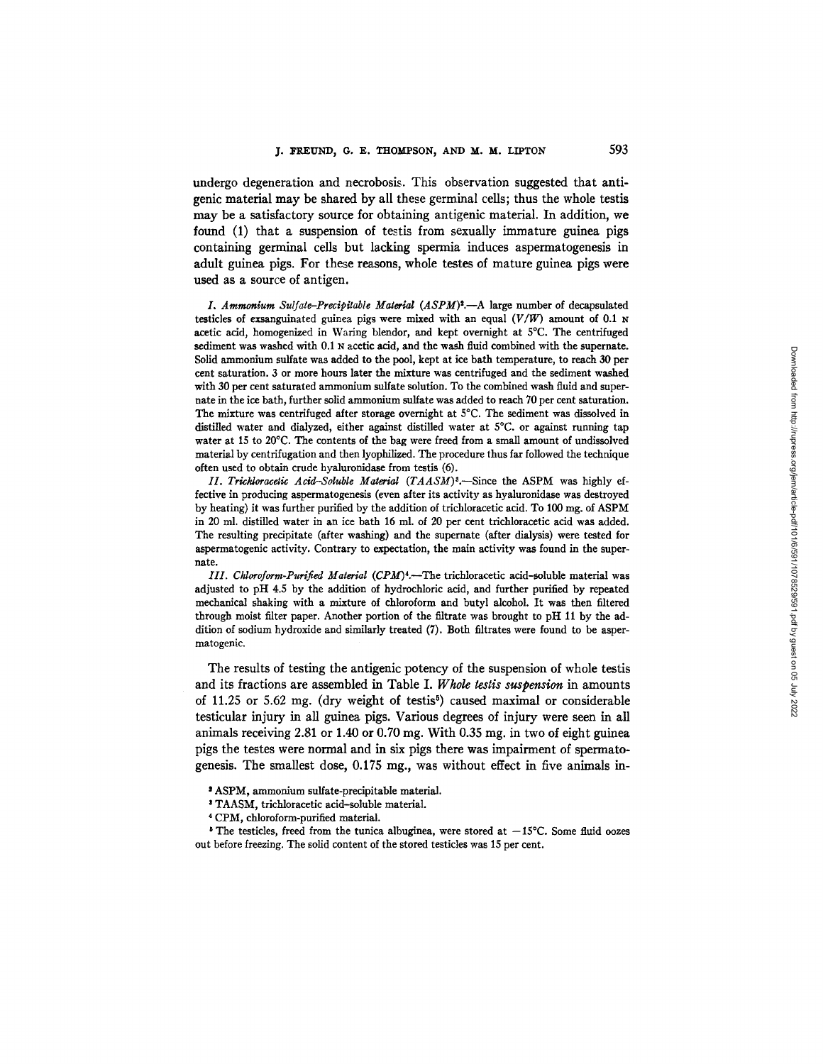undergo degeneration and necrobosis. This observation suggested that antigenic material may be shared by all these germinal cells; thus the whole testis may be a satisfactory source for obtaining antigenic material. In addition, we found (1) that a suspension of testis from sexually immature guinea pigs containing germinal cells but lacking spermia induces aspermatogenesis in adult guinea pigs. For these reasons, whole testes of mature guinea pigs were used as a source of antigen.

*I. Ammonium Sulfate-Precipitable Material (ASPM)<sup>2</sup>.--A large number of decapsulated* testicles of exsanguinated guinea pigs were mixed with an equal  $(V/W)$  amount of 0.1  $\mu$ acetic acid, homogenized in Waring blendor, and kept overnight at 5°C. The centrifuged sediment was washed with 0.1 N acetic acid, and the wash fluid combined with the supernate. Solid ammonium sulfate was added to the pool, kept at ice bath temperature, to reach 30 per cent saturation. 3 or more hours later the mixture was centrifuged and the sediment washed with 30 per cent saturated ammonium sulfate solution. To the combined wash fluid and supernate in the ice bath, further solid ammonium sulfate was added to reach 70 per cent saturation. The mixture was centrifuged after storage overnight at 5°C. The sediment was dissolved in distilled water and dialyzed, either against distilled water at 5°C. or against running tap water at 15 to 20°C. The contents of the bag were freed from a small amount of undissolved material by centrifugation and then lyophilized. The procedure thus far followed the technique often used to obtain crude hyaluronidase from testis (6).

*H. Trichloracetic Acid-Soluble Material (TAASM)S.--Since the* ASPM was highly effective in producing aspermatogenesis (even after its activity as hyaiuronidase was destroyed by heating) it was further purified by the addition of trichioracetic acid. To 100 mg. of ASPM in 20 ml. distilled water in an ice bath 16 ml. of 20 per cent trichloracetic acid was added. The resulting precipitate (after washing) and the supernate (after dialysis) were tested for aspermatogenic activity. Contrary to expectation, the main activity was found in the supernate.

*II1. Chloroform-Purified Material (CPM)4.--The* trichloracetic acid-soluble material was adjusted to pH 4.5 by the addition of hydrochloric acid, and further purified by repeated mechanical shaking with a mixture of chloroform and butyl alcohol. It was then filtered through moist filter paper. Another portion of the filtrate was brought to pH 11 by the addition of sodium hydroxide and similarly treated (7). Both filtrates were found to be aspermatogenic.

The results of testing the antigenic potency of the suspension of whole testis and its fractions are assembled in Table I. *Whole testis suspension* in amounts of  $11.25$  or  $5.62$  mg. (dry weight of testis<sup>5</sup>) caused maximal or considerable testicular injury in all guinea pigs. Various degrees of injury were seen in all animals receiving  $2.81$  or  $1.40$  or  $0.70$  mg. With  $0.35$  mg. in two of eight guinea pigs the testes were normal and in six pigs there was impairment of spermatogenesis. The smallest dose, 0.175 mg., was without effect in five animals in-

- \* TAASM, trichloracetic acid-soluble material.
- 4 CPM, chloroform-purified material.

<sup>5</sup> The testicles, freed from the tunica albuginea, were stored at  $-15^{\circ}$ C. Some fluid oozes out before freezing. The solid content of the stored testicles was 15 per cent.

<sup>2</sup> ASPM, ammonium sulfate-precipitable material.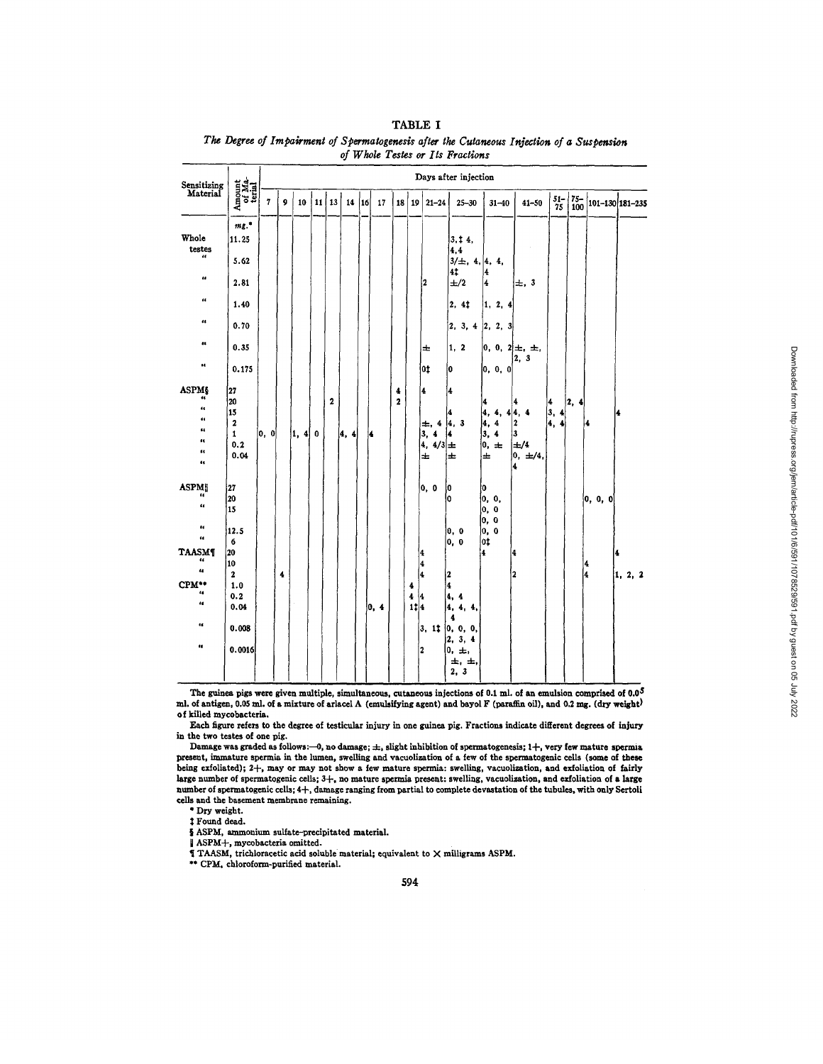| Sensitizing<br>Material                                                                        |                                                                          |      | Days after injection |        |  |                         |      |    |     |                              |          |                                      |                                                            |                                                                                     |                                              |                        |            |         |                 |
|------------------------------------------------------------------------------------------------|--------------------------------------------------------------------------|------|----------------------|--------|--|-------------------------|------|----|-----|------------------------------|----------|--------------------------------------|------------------------------------------------------------|-------------------------------------------------------------------------------------|----------------------------------------------|------------------------|------------|---------|-----------------|
|                                                                                                | Amount<br>of Ma-<br>terial                                               | 7    | 9                    | 10     |  | 11 13                   | 14   | 16 | 17  | 18                           | 19       | $21 - 24$                            | $25 - 30$                                                  | $31 - 40$                                                                           | $41 - 50$                                    | $\frac{51}{75}$        | $75 - 100$ |         | 101-130 181-235 |
| Whole<br>testes<br>$\pmb{\epsilon}$                                                            | ms.<br>11.25<br>5.62                                                     |      |                      |        |  |                         |      |    |     |                              |          |                                      | 3, 1, 4.<br>4.4<br>$3/\pm$ , 4, 4, 4,<br>4‡                | 4                                                                                   |                                              |                        |            |         |                 |
| $\pmb{\epsilon}$                                                                               | 2.81                                                                     |      |                      |        |  |                         |      |    |     |                              |          | 2                                    | $\pm/2$                                                    | 4                                                                                   | $\pm$ , 3                                    |                        |            |         |                 |
| $\epsilon\epsilon$                                                                             | 1.40                                                                     |      |                      |        |  |                         |      |    |     |                              |          |                                      | 2, 4‡                                                      | 1, 2, 4                                                                             |                                              |                        |            |         |                 |
| $\epsilon$                                                                                     | 0.70                                                                     |      |                      |        |  |                         |      |    |     |                              |          |                                      | 2, 3, 4                                                    | 2, 2, 3                                                                             |                                              |                        |            |         |                 |
| 44                                                                                             | 0.35                                                                     |      |                      |        |  |                         |      |    |     |                              |          | ᆂ                                    | 1, 2                                                       | $\vert 0, 0, 2\vert \pm, \pm,$                                                      | 2, 3                                         |                        |            |         |                 |
| $\omega_{\rm i}$                                                                               | 0.175                                                                    |      |                      |        |  |                         |      |    |     |                              |          | l0‡                                  | 0                                                          | 0, 0, 0                                                                             |                                              |                        |            |         |                 |
| <b>ASPM</b><br>u<br>$\epsilon$<br>44<br>u<br>$\bullet$<br>$\pmb{\epsilon}$<br>$\bullet\bullet$ | 27<br>20<br>15<br>$\overline{\mathbf{2}}$<br>$\mathbf{1}$<br>0.2<br>0.04 | o, o |                      | 1, 4 0 |  | $\overline{\mathbf{2}}$ | 4, 4 |    | 14  | 4<br>$\overline{\mathbf{2}}$ |          | 4<br>$\pm$ , 4<br>3,<br>4<br>4,<br>Æ | 4<br>4<br> 4, 3<br>4<br>$4/3 \pm$<br>ᆂ                     | 4<br>4, 4, 4 4, 4<br>$\ddot{\textbf{4}}$<br>4,<br>3, 4<br>$\vert 0, \pm \vert$<br>ᆂ | 4<br>12<br>13<br>$\pm/4$<br>$0, \pm/4,$<br>4 | I4<br>3,<br>4<br> 4, 4 | 2, 4       | 14.     | I4              |
| <b>ASPM!</b><br>44<br>$\epsilon_{\rm d}$<br>44                                                 | 27<br>20<br>15<br>12.5                                                   |      |                      |        |  |                         |      |    |     |                              |          | 0, 0                                 | 10<br>I٥<br>0, 0                                           | 0<br> 0, 0,<br>0, 0<br> o, o<br><b>0, 0</b>                                         |                                              |                        |            | 0, 0, 0 |                 |
| 4<br><b>TAASMT</b><br>¢¢<br>44<br>$CPM**$<br>u                                                 | 6<br>20<br>10<br>$\mathbf 2$<br>1.0                                      |      | 4                    |        |  |                         |      |    |     |                              | 4        | 4<br>4<br>4                          | 0, 0<br>12<br>4                                            | 0‡<br>4                                                                             | 4<br>2                                       |                        | ĺ4         | 4<br>4  | 1, 2, 2         |
| $\pmb{\epsilon}$                                                                               | 0.2<br>0.04                                                              |      |                      |        |  |                         |      |    | 0,4 |                              | 4<br>114 | 4                                    | 4, 4<br>4,<br>4, 4,<br>4                                   |                                                                                     |                                              |                        |            |         |                 |
| t                                                                                              | 0.008                                                                    |      |                      |        |  |                         |      |    |     |                              |          | 3.11                                 | $\begin{bmatrix} 0, & 0, & 0, \end{bmatrix}$<br>3, 4<br>2, |                                                                                     |                                              |                        |            |         |                 |
| $\pmb{\epsilon}$                                                                               | 0.0016                                                                   |      |                      |        |  |                         |      |    |     |                              |          | 2                                    | 0,<br>士,<br>土,土,<br>2, 3                                   |                                                                                     |                                              |                        |            |         |                 |

TABLE I *The Degree of Impairment of Spermatogenesis after tke Cutaneous Injection of a Suspension of Whole Testes or Its Fractions* 

The guinea pigs were given multiple, simultaneous, cutaneous injections of 0.1 ml. of an emulsion comprised of  $0.0<sup>5</sup>$ ml. of antigen, 0.05 ml. of a mixture of arlacel A (emulsifying agent) and bayol F (paraffin oil), and 0.2 mg. (dry weight) of killed mycobacteria.

Each figure refers to the degree of testlcular injury in one guinea pig. Fractions indicate different degrees of injury in the two testes of one pig.

Damage was graded as follows:--0, no damage;  $\pm$ , slight inhibition of spermatogenesis;  $1+$ , very few mature spermia present, immature spermia in the lumen, swelling and vacuolization of a few of the spermatogenic cells (some of these being exfoliated); 2+, may or may not show a few mature spermia: swelling, vacuolization, and exfoliation of fairly large number of spermatogenic cells; 3+, no mature spermia present: swelling, vacuolization, and exfoliation of a large number of spermatogenic cells; 4+, damage ranging from partial to complete devastation of the tubules, with only Sertoli cells and the basement membrane remaining.

\* Dry weight.

Found dead.

§ ASPM, ammonium sulfate-precipitated material.

 $\parallel$  ASPM+, mycobacteria omitted.

¶ TAASM, trichloracetic acid soluble material; equivalent to X milligrams ASPM. \*\* CPM. chloroform-purified material.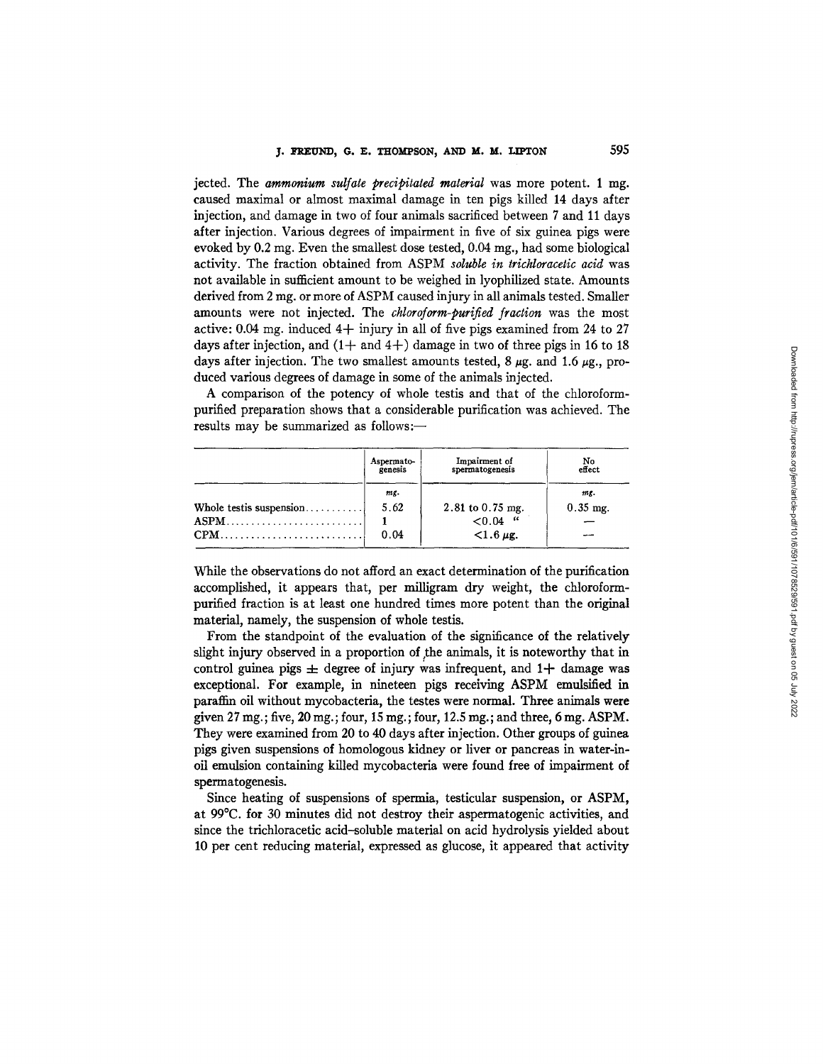jected. The *ammonium sulfate precipitated material* was more potent. 1 mg. caused maximal or almost maximal damage in ten pigs killed 14 days after injection, and damage in two of four animals sacrificed between 7 and 11 days after injection. Various degrees of impairment in five of six guinea pigs were evoked by  $0.2$  mg. Even the smallest dose tested,  $0.04$  mg., had some biological activity. The fraction obtained from ASPM *soluble in trichloracetic acid* was not available in sufficient amount to be weighed in lyophilized state. Amounts derived from 2 mg. or more of ASPM caused injury in all animals tested. Smaller amounts were not injected. The *chloroform-purified fraction* was the most active:  $0.04$  mg. induced  $4+$  injury in all of five pigs examined from 24 to 27 days after injection, and  $(1+$  and  $4+)$  damage in two of three pigs in 16 to 18 days after injection. The two smallest amounts tested,  $8 \mu$ g. and 1.6  $\mu$ g., produced various degrees of damage in some of the animals injected.

A comparison of the potency of whole testis and that of the chloroformpurified preparation shows that a considerable purification was achieved. The results may be summarized as follows:-

|                                  | Aspermato-<br>genesis | Impairment of<br>spermatogenesis | No<br>effect |
|----------------------------------|-----------------------|----------------------------------|--------------|
|                                  | mg.                   |                                  | mg.          |
| Whole test is suspension $\dots$ | 5.62                  | 2.81 to 0.75 mg.                 | $0.35$ mg.   |
|                                  |                       | $< 0.04$ "                       |              |
| $CPM$                            | 0.04                  | $<1.6 \mu$ g.                    |              |

While the observations do not afford an exact determination of the purification accomplished, it appears that, per milligram dry weight, the chloroformpurified fraction is at least one hundred times more potent than the original material, namely, the suspension of whole testis.

From the standpoint of the evaluation of the significance of the relatively slight injury observed in a proportion of the animals, it is noteworthy that in control guinea pigs  $\pm$  degree of injury was infrequent, and 1+ damage was exceptional. For example, in nineteen pigs receiving ASPM emulsified in paraffin oil without mycobacteria, the testes were normal. Three animals were given  $27 \text{ mg.};$  five,  $20 \text{ mg.};$  four,  $15 \text{ mg.};$  four,  $12.5 \text{ mg.};$  and three,  $6 \text{ mg. }$  ASPM. They were examined from 20 to 40 days after injection. Other groups of guinea pigs given suspensions of homologous kidney or liver or pancreas in water-inoil emulsion containing killed mycobacteria were found free of impairment of spermatogenesis.

Since heating of suspensions of spermia, tesficular suspension, or ASPM, at 99°C. for 30 minutes did not destroy their aspermatogenic activities, and since the trichloracetic acid-soluble material on acid hydrolysis yielded about 10 per cent reducing material, expressed as glucose, it appeared that activity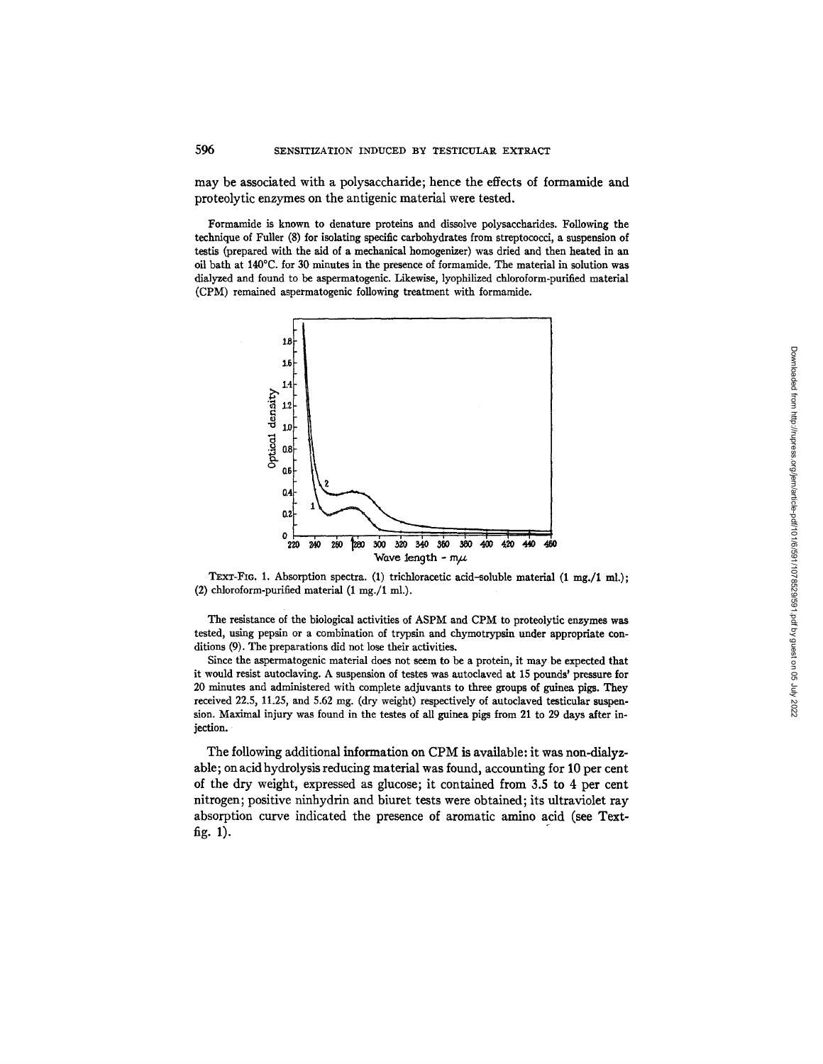may be associated with a polysaccharide; hence the effects of formamide and proteolytic enzymes on the antigenic material were tested.

Formamide is known to denature proteins and dissolve polysaccharides. Following the technique of Fuller (8) for isolating specific carbohydrates from streptococci, a suspension of testis (prepared with the aid of a mechanical homogenizer) was dried and then heated in an oil bath at 140°C. for 30 minutes in the presence of formamide. The material in solution was dialyzed and found to be aspermatogenic. Likewise, lyophilized chloroform-purified material (CPM) remained aspermatogenic following treatment with formarnide.



TEXT-FIG. 1. Absorption spectra. (1) trichloracetic acid-soluble material (1 mg./1 ml.); (2) chloroform-purified material (I mg./l ml,),

The resistance of the biological activities of ASPM and CPM to proteolytic enzymes was tested, using pepsin or a combination of trypsin and chymotrypsin under appropriate conditions (9). The preparations did not lose their activities.

Since the aspermatogenic material does not seem to be a protein, it may be expected that it would resist autoclaving. A suspension of testes was autoclaved at 15 pounds' pressure for 20 minutes and administered with complete adjuvants to three groups of guinea pigs. They received 22.5, 11.25, and 5.62 mg. (dry weight) respectively of autoclaved testicular suspension. Maximal injury was found in the testes of all guinea pigs from 21 to 29 days after injection.

The following additional information on CPM is available: it was non-dialyzable; on acid hydrolysis reducing material was found, accounting for 10 per cent of the dry weight, expressed as glucose; it contained from 3.5 to 4 per cent nitrogen; positive ninhydrin and biuret tests were obtained; its ultraviolet ray absorption curve indicated the presence of aromatic amino acid (see Textfig. 1).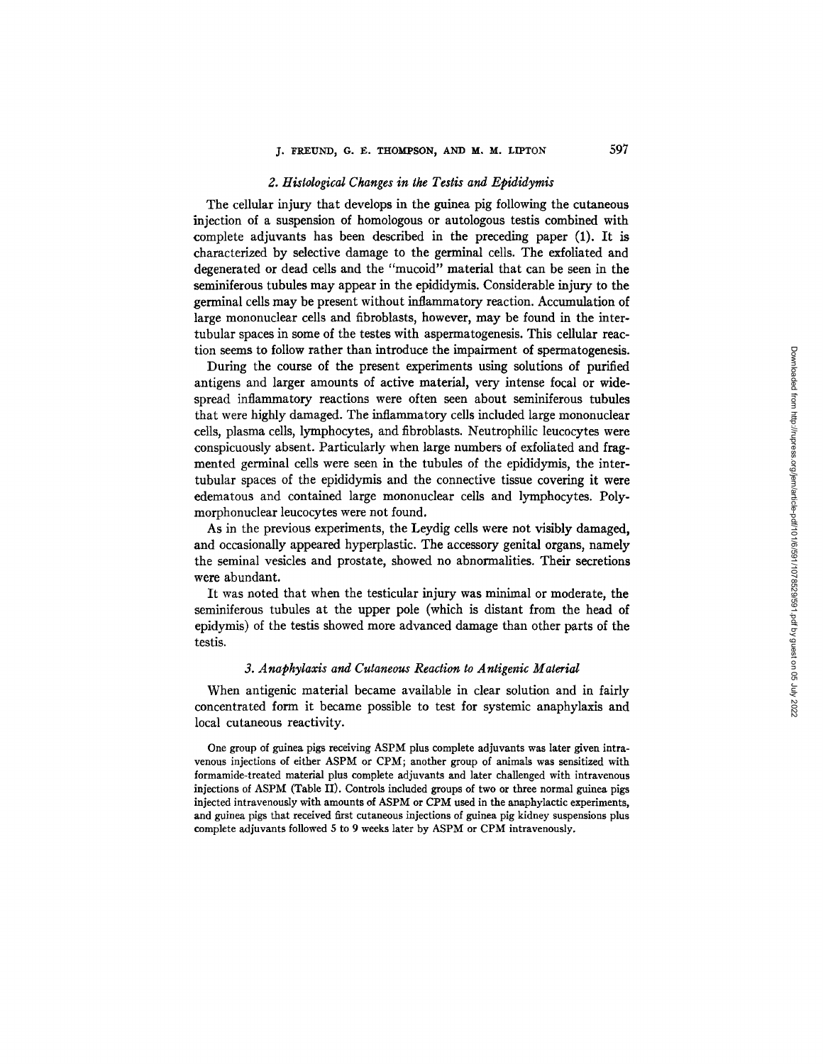### *2. Histological Changes in the Testis and Epididymis*

The cellular injury that develops in the guinea pig following the cutaneous injection of a suspension of homologous or autologous testis combined with complete adjuvants has been described in the preceding paper (1). It is characterized by selective damage to the germinal cells. The exfoliated and degenerated or dead cells and the "mucoid" material that can be seen in the seminiferous tubules may appear in the epididymis. Considerable injury to the germinal cells may be present without inflammatory reaction. Accumulation of large mononuclear ceils and fibroblasts, however, may be found in the intertubular spaces in some of the testes with aspermatogenesis. This cellular reaction seems to follow rather than introduce the impairment of spermatogenesis.

During the course of the present experiments using solutions of purified antigens and larger amounts of active material, very intense focal or widespread inflammatory reactions were often seen about seminiferous tubules that were highly damaged. The inflammatory ceils included large mononuclear cells, plasma cells, lymphocytes, and fibroblasts. Neutrophilic leucocytes were conspicuously absent. Particularly when large numbers of exfoliated and fragmented germinal cells were seen in the tubules of the epididymis, the intertubular spaces of the epididymis and the connective tissue covering it were edematous and contained large mononuclear cells and lymphocytes. Polymorphonuclear leucocytes were not found.

As in the previous experiments, the Leydig ceils were not visibly damaged, and occasionally appeared hyperplastic. The accessory genital organs, namely the seminal vesicles and prostate, showed no abnormalities. Their secretions were abundant.

It was noted that when the testicular injury was minimal or moderate, the seminiferous tubules at the upper pole (which is distant from the head of epidymis) of the testis showed more advanced damage than other parts of the testis.

## *3. Anaphylaxis and Cutaneous Reaction to Antigenic Material*

When antigenic material became available in clear solution and in fairly concentrated form it became possible to test for systemic anaphylaxis and local cutaneous reactivity.

One group of guinea pigs receiving ASPM plus complete adjuvants was later given intravenous injections of either ASPM or CPM; another group of animals was sensitized with formamide-treated material plus complete adjuvants and later challenged with intravenous injections of ASPM (Table II). Controls included groups of two or three normal guinea pigs injected intravenously with amounts of ASPM or CPM used in the anaphylactic experiments, and guinea pigs that received first cutaneous injections of guinea pig kidney suspensions plus complete adjuvants followed 5 to 9 weeks later by ASPM or CPM intravenously.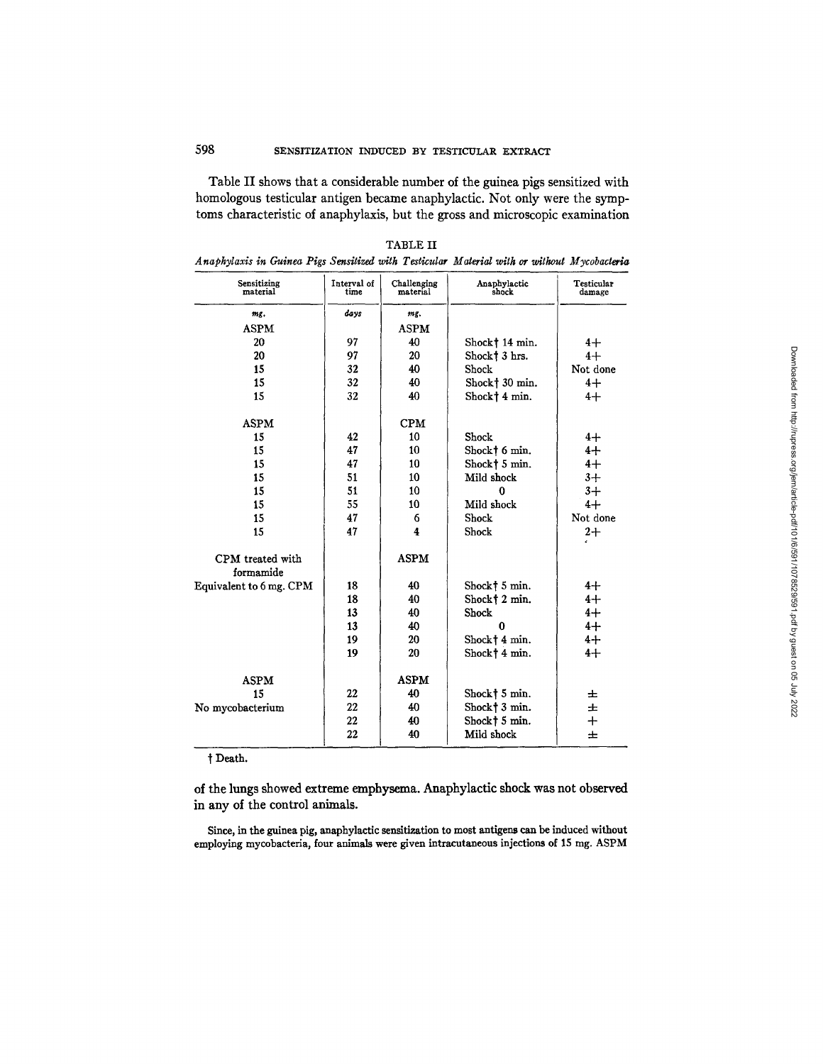Table II shows that a considerable number of the guinea pigs sensitized with homologous testicular antigen became anaphylactic. Not only were the symptoms characteristic of anaphylaxis, but the gross and microscopic examination

| Anaphylaxis in Guinea Pigs Sensitized with Testicular Material with or without Mycobacteria |                     |                         |                       |                      |  |
|---------------------------------------------------------------------------------------------|---------------------|-------------------------|-----------------------|----------------------|--|
| Sensitizing<br>material                                                                     | Interval of<br>time | Challenging<br>material | Anaphylactic<br>shock | Testicular<br>damage |  |
| mg.                                                                                         | days                | mg.                     |                       |                      |  |
| <b>ASPM</b>                                                                                 |                     | <b>ASPM</b>             |                       |                      |  |
| 20                                                                                          | 97                  | 40                      | Shock† 14 min.        | $4+$                 |  |
| 20                                                                                          | 97                  | 20                      | Shock† 3 hrs.         | $4+$                 |  |
| 15                                                                                          | 32                  | 40                      | Shock                 | Not done             |  |
| 15                                                                                          | 32                  | 40                      | Shock† 30 min.        | $4+$                 |  |
| 15                                                                                          | 32                  | 40                      | Shock† 4 min.         | $4+$                 |  |
| <b>ASPM</b>                                                                                 |                     | <b>CPM</b>              |                       |                      |  |
| 15                                                                                          | 42                  | 10                      | Shock                 | $4+$                 |  |
| 15                                                                                          | 47                  | 10                      | Shock† 6 min.         | $4+$                 |  |
| 15                                                                                          | 47                  | 10                      | Shock† 5 min.         | $4+$                 |  |
| 15                                                                                          | 51                  | 10                      | Mild shock            | $3+$                 |  |
| 15                                                                                          | 51                  | 10                      | 0                     | $3+$                 |  |
| 15                                                                                          | 55                  | 10                      | Mild shock            | $4+$                 |  |
| 15                                                                                          | 47                  | 6                       | Shock                 | Not done             |  |
| 15                                                                                          | 47                  | $\ddagger$              | Shock                 | $2+$                 |  |
| CPM treated with<br>formamide                                                               |                     | <b>ASPM</b>             |                       |                      |  |
| Equivalent to 6 mg. CPM                                                                     | 18                  | 40                      | Shock† 5 min.         | $4+$                 |  |
|                                                                                             | 18                  | 40                      | Shock † 2 min.        | $4+$                 |  |
|                                                                                             | 13                  | 40                      | <b>Shock</b>          | $4+$                 |  |
|                                                                                             | 13                  | 40                      | $\bf{0}$              | $4+$                 |  |
|                                                                                             | 19                  | 20                      | Shock† 4 min.         | $4+$                 |  |
|                                                                                             | 19                  | 20                      | Shock† 4 min.         | $4+$                 |  |
| <b>ASPM</b>                                                                                 |                     | <b>ASPM</b>             |                       |                      |  |
| 15                                                                                          | 22                  | 40                      | Shock + 5 min.        | 土                    |  |
| No mycobacterium                                                                            | 22                  | 40                      | Shock† 3 min.         | 士                    |  |
|                                                                                             | 22                  | 40                      | Shock† 5 min.         | $\div$               |  |
|                                                                                             | 22                  | 40                      | Mild shock            | 士                    |  |

TABLE II

f Death.

of the lungs showed extreme emphysema. Anaphylactic shock was not observed in any of the control animals.

Since, in the guinea pig, anaphylactic semitization to most antigens can be induced without employing mycobacteria, four animals were given intracutaneous injections of 15 mg. ASPM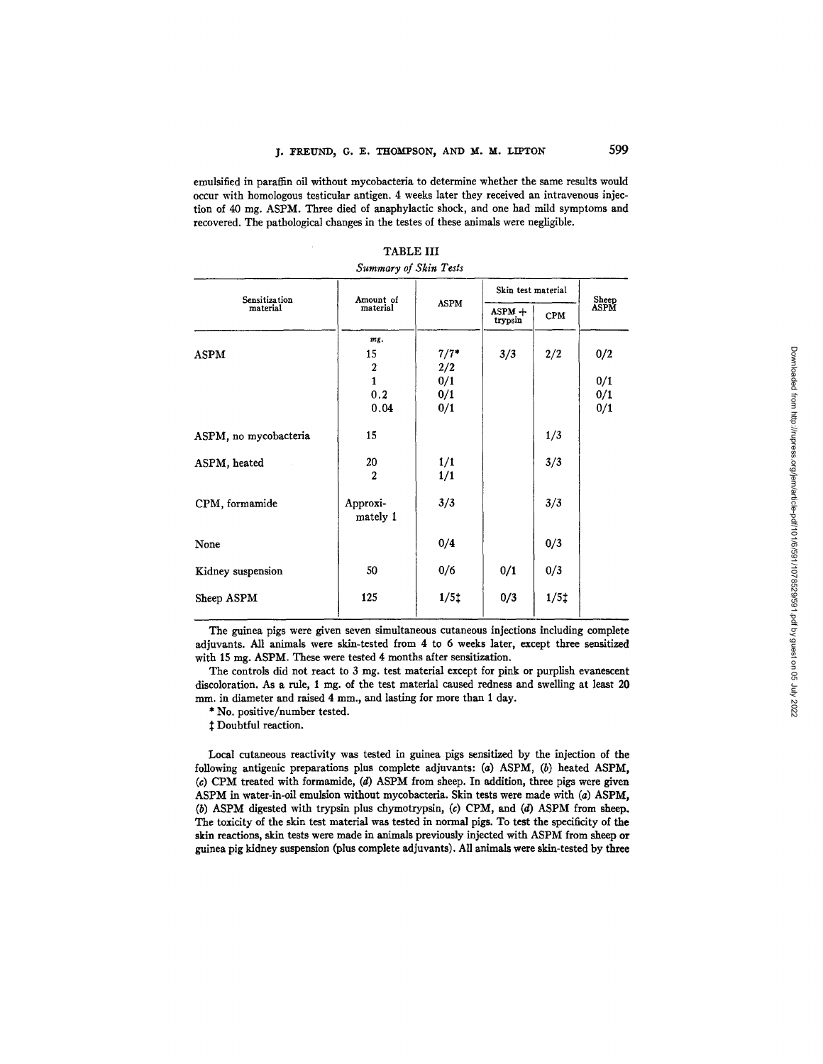emulsified in paraffin oil without mycobacteria to determine whether the same results would occur with homologous testicular antigen. 4 weeks later they received an intravenous injection of 40 mg. ASPM. Three died of anaphylactic shock, and one had mild symptoms and recovered. The pathological changes in the testes of these animals were negligible.

| Sensitization         | Amount of            |             | Skin test material  |                  |               |  |
|-----------------------|----------------------|-------------|---------------------|------------------|---------------|--|
| material              | material             | <b>ASPM</b> | $ASPM +$<br>trypsin | CPM              | Sheep<br>ASPM |  |
|                       | mg.                  |             |                     |                  |               |  |
| ASPM                  | 15                   | $7/7*$      | 3/3                 | 2/2              | 0/2           |  |
|                       | $\boldsymbol{2}$     | 2/2         |                     |                  |               |  |
|                       | $\mathbf{1}$         | 0/1         |                     |                  | 0/1           |  |
|                       | 0.2                  | 0/1         |                     |                  | 0/1           |  |
|                       | 0.04                 | 0/1         |                     |                  | 0/1           |  |
| ASPM, no mycobacteria | 15                   |             |                     | 1/3              |               |  |
| ASPM, heated          | 20                   | 1/1         |                     | 3/3              |               |  |
|                       | $\mathbf{2}$         | 1/1         |                     |                  |               |  |
| CPM, formamide        | Approxi-<br>mately 1 | 3/3         |                     | 3/3              |               |  |
| None                  |                      | 0/4         |                     | 0/3              |               |  |
| Kidney suspension     | 50                   | 0/6         | 0/1                 | 0/3              |               |  |
| Sheep ASPM            | 125                  | 1/51        | 0/3                 | $1/5$ $\ddagger$ |               |  |

## TABLE III *Summary of Skin Tests*

The guinea pigs were given seven simultaneous cutaneous injections including complete adjuvants. All animals were skin-tested from 4 to 6 weeks later, except three sensitized with 15 mg. ASPM. These were tested 4 months after sensitization.

The controls did not react to  $3$  mg. test material except for pink or purplish evanescent discoloration. As a rule, 1 mg. of the test material caused redness and swelling at least 20 mm. in diameter and raised 4 mm., and lasting for more than 1 day.

\* No. positive/number tested.

 $‡$  Doubtful reaction.

Local cutaneous reactivity was tested in guinea pigs sensitized by the injection of the following antigenic preparations plus complete adjuvants: (a) ASPM, (b) heated ASPM, (e) CPM treated with formamide, (d) ASPM from sheep. In addition, three pigs were given ASPM in water-in-oil emulsion without mycobacteria. Skin tests were made with (a) ASPM, (b) ASPM digested with trypsin plus chymotrypsin, (c) CPM, and (d) ASPM from sheep. The toxicity of the skin test material was tested in normal pigs. To test the spedficity of **the**  skin reactions, gkin tests were made in animals previously injected with ASPM from sheep or guinea pig kidney suspension (plus complete adjuvants). All animals were skin-tested by three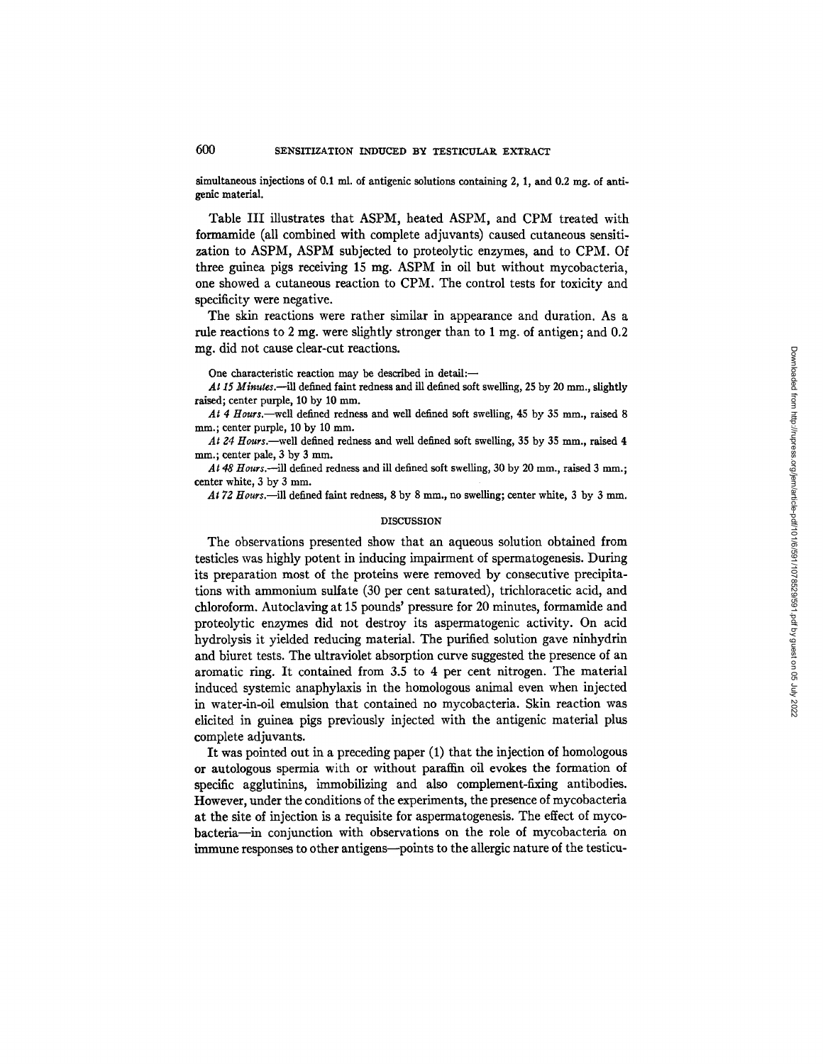simultaneous injections of 0.1 ml. of antigenic solutions containing 2, 1, and 0.2 mg. of antigenic material.

Table III illustrates that ASPM, heated ASPM, and CPM treated with formamide (all combined with complete adjuvants) caused cutaneous sensitization to ASPM, ASPM subjected to proteolytic enzymes, and to CPM. Of three guinea pigs receiving 15 mg. ASPM in oil but without mycobacteria, one showed a cutaneous reaction to CPM. The control tests for toxicity and specificity were negative.

The skin reactions were rather similar in appearance and duration. As a rule reactions to 2 mg. were slightly stronger than to 1 mg. of antigen; and  $0.2$ mg. did not cause clear-cut reactions.

One characteristic reaction may be described in detail:-

*At 15 Minutes.--ill* defined faint redness and ill defined soft swelling, 25 by 20 mm., slightly raised; center purple, 10 by 10 mm.

At 4 Hours.--well defined redness and well defined soft swelling, 45 by 35 mm., raised 8 mm.; center purple, 10 by 10 mm.

At 24 Hours.—well defined redness and well defined soft swelling, 35 by 35 mm., raised 4 mm.; center pale, 3 by 3 mm.

At 48 Hours.--ill defined redness and ill defined soft swelling, 30 by 20 mm., raised 3 mm.; center white, 3 by 3 mm.

At 72 Hours.--ill defined faint redness, 8 by 8 mm., no swelling; center white, 3 by 3 mm.

#### DISCUSSION

The observations presented show that an aqueous solution obtained from testicles was highly potent in inducing impairment of spermatogenesis. During its preparation most of the proteins were removed by consecutive precipitations with ammonium sulfate (30 per cent saturated), trichloracetic acid, and chloroform. Autoclaving at 15 pounds' pressure for 20 minutes, formamide and proteolytic enzymes did not destroy its aspermatogenic activity. On acid hydrolysis it yielded reducing material. The purified solution gave ninhydrin and biuret tests. The ultraviolet absorption curve suggested the presence of an aromatic ring. It contained from 3.5 to 4 per cent nitrogen. The material induced systemic anaphylaxis in the homologous animal even when injected in water-in-oil emulsion that contained no mycobacteria. Skin reaction was elicited in guinea pigs previously injected with the antigenic material plus complete adjuvants.

It was pointed out in a preceding paper (1) that the injection of homologous or autologous spermia with or without paraffin oil evokes the formation of specific agglutinins, immobilizing and also complement-fixing antibodies. However, under the conditions of the experiments, the presence of mycobacteria at the site of injection is a requisite for aspermatogenesis. The effect of mycobacteria--in conjunction with observations on the role of mycobacteria on immune responses to other antigens--points to the allergic nature of the testicu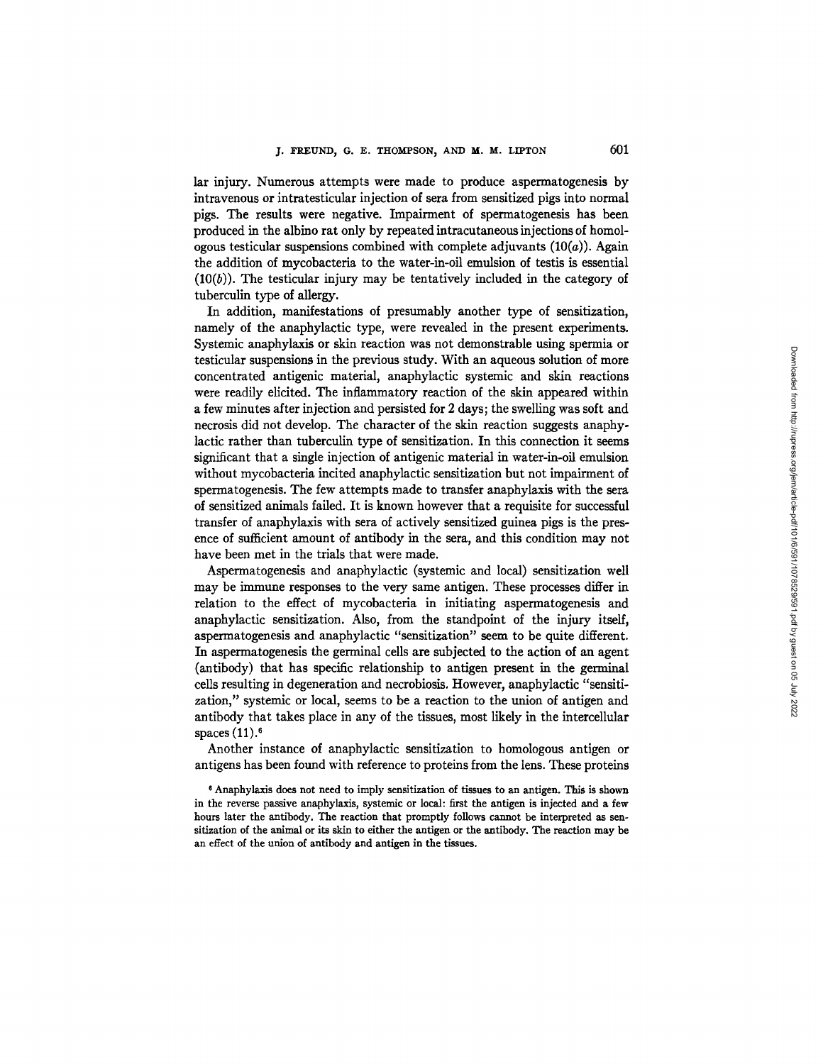lar injury. Numerous attempts were made to produce aspermatogenesis by intravenous or intratesticular injection of sera from sensitized pigs into normal pigs. The results were negative. Impairment of spermatogenesis has been produced in the albino rat only by repeated intracutaneous injections of homologous testicular suspensions combined with complete adjuvants  $(10(a))$ . Again the addition of mycobacteria to the water-in-oil emulsion of testis is essential  $(10(b))$ . The testicular injury may be tentatively included in the category of tuberculin type of allergy.

In addition, manifestations of presumably another type of sensitization, namely of the anaphylactic type, were revealed in the present experiments. Systemic anaphylaxis or skin reaction was not demonstrable using spermia or testicular suspensions in the previous study. With an aqueous solution of more concentrated antigenic material, anaphylactic systemic and skin reactions were readily elicited. The inflammatory reaction of the skin appeared within a few minutes after injection and persisted for 2 days; the swelling was soft and necrosis did not develop. The character of the skin reaction suggests anaphylactic rather than tuberculin type of sensitization. In this connection it seems significant that a single injection of antigenic material in water-in-oil emulsion without mycobacteria incited anaphylactic sensitization but not impairment of spermatogenesis. The few attempts made to transfer anaphylaxis with the sera of sensitized animals failed. It is known however that a requisite for successful transfer of anaphylaxis with sera of actively sensitized guinea pigs is the presence of sufficient amount of antibody in the sera, and this condition may not have been met in the trials that were made.

Aspermatogenesis and anaphylactic (systemic and local) sensitization well may be immune responses to the very same antigen. These processes differ in relation to the effect of mycobacteria in initiating aspermatogenesis and anaphylactic sensitization. Also, from the standpoint of the injury itself, aspermatogenesis and anaphylactic "sensitization" seem to be quite different. In aspermatogenesis the germinal cells are subjected to the action of an agent (antibody) that has specific relationship to antigen present in the germinal cells resulting in degeneration and necrobiosis. However, anaphylactic "sensitization," systemic or local, seems to be a reaction to the union of antigen and antibody that takes place in any of the tissues, most likely in the intercellular spaces (11).<sup>6</sup>

Another instance of anaphylactic sensitization to homologous antigen or antigens has been found with reference to proteins from the lens. These proteins

<sup>6</sup> Anaphylaxis does not need to imply sensitization of tissues to an antigen. This is shown in the reverse passive anaphylaxis, systemic or local: first the antigen is injected and a few hours later the antibody. The reaction that promptly follows cannot be interpreted as sensitization of the animal or its skin to either the antigen or the antibody. The reaction may be an effect of the union of antibody and antigen in the tissues.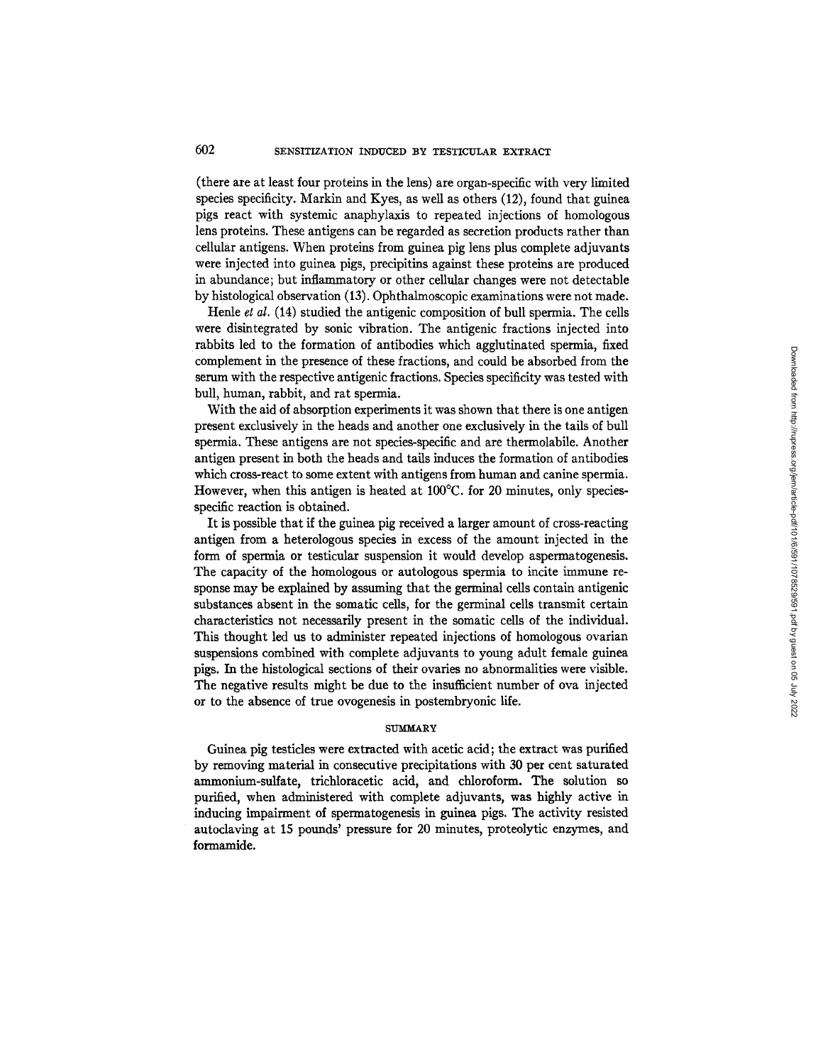(there are at least four proteins in the lens) are organ-specific with very limited species specificity. Markin and Eyes, as well as others (12), found that guinea pigs react with systemic anaphylaxis to repeated injections of homologous lens proteins. These antigens can be regarded as secretion products rather than cellular antigens. When proteins from guinea pig lens plus complete adjuvants were injected into guinea pigs, precipitins against these proteins are produced in abundance; but inflammatory or other cellular changes were not detectable by histological observation (13). Ophthalmoscopic examinations were not made.

Henle *et al.* (14) studied the antigenic composition of bull spermia. The cells were disintegrated by sonic vibration. The antigenic fractions injected into rabbits led to the formation of antibodies which agglutinated spermia, fixed complement in the presence of these fractions, and could be absorbed from the serum with the respective antigenic fractions. Species specificity was tested with bull, human, rabbit, and rat spermia.

With the aid of absorption experiments it was shown that there is one antigen present exclusively in the heads and another one exclusively in the tails of bull spermia. These antigens are not species-specific and are thermolabile. Another antigen present in both the heads and tails induces the formation of antibodies which cross-react to some extent with antigens from human and canine spermia. However, when this antigen is heated at  $100^{\circ}$ C. for 20 minutes, only speciesspecific reaction is obtained.

It is possible that if the guinea pig received a larger amount of cross-reacting antigen from a heterologous species in excess of the amount injected in the form of spermia or testicular suspension it would develop aspermatogenesis. The capacity of the homologous or autologous spermia to incite immune response may be explained by assuming that the germinal cells contain antigenic substances absent in the somatic cells, for the germinal cells transmit certain characteristics not necessarily present in the somatic cells of the individual. This thought led us to administer repeated injections of homologous ovarian suspensions combined with complete adjuvants to young adult female guinea pigs. In the histological sections of their ovaries no abnormalities were visible. The negative results might be due to the insufficient number of ova injected or to the absence of true ovogenesis in postembryonic life.

#### **SUMMARY**

Guinea pig testicles were extracted with acetic acid; the extract was purified by removing material in consecutive precipitations with 30 per cent saturated ammonium-sulfate, trichloracetic acid, and chloroform. The solution so purified, when administered with complete adjuvants, was highly active in inducing impairment of spermatogenesis in guinea pigs. The activity resisted autoclaving at 15 pounds' pressure for 20 minutes, proteolytic enzymes, and formamide.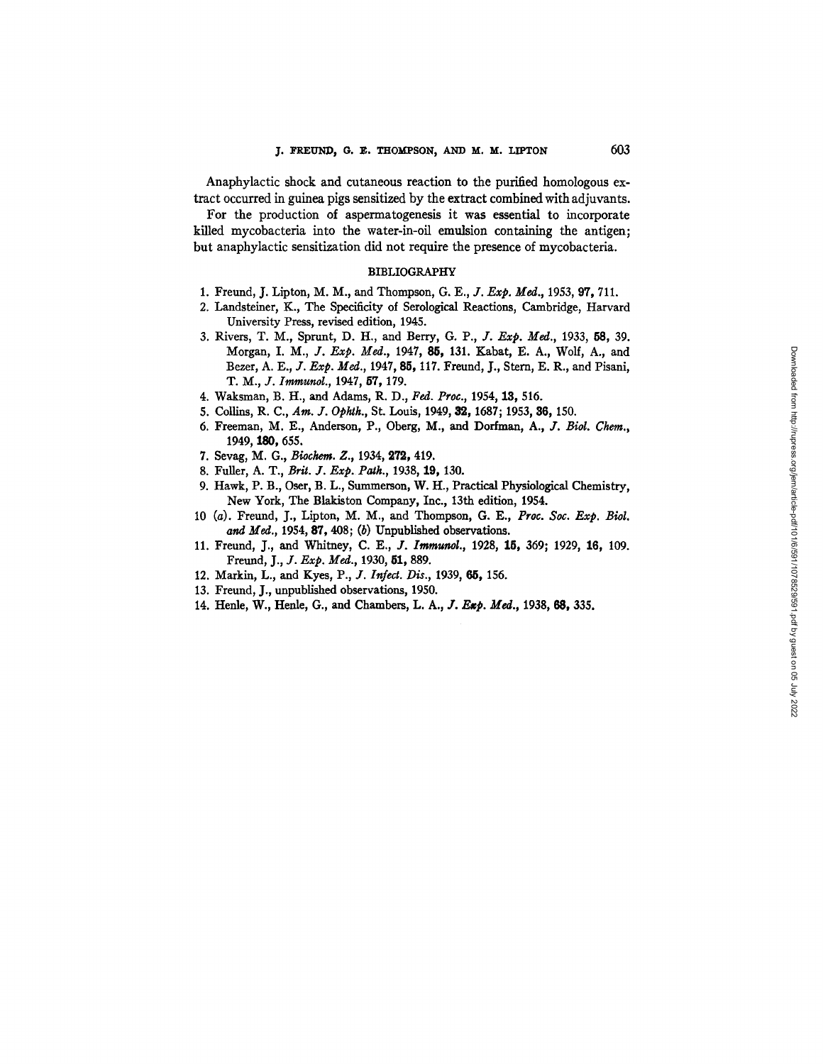Anaphylactic shock and cutaneous reaction to the purified homologous extract occurred in guinea pigs sensitized by the extract combined with adjuvants.

For the production of aspermatogenesis it was essential to incorporate killed mycobacteria into the water-in-oil emulsion containing the antigen; but anaphylactic sensitization did not require the presence of mycobacteria.

## BIBLIOGRAPHY

- 1. Freund, J. Lipton, M. M., and Thompson, G. E., *J. Exp. Med.,* 1953, 97, 711.
- 2. Landsteiner, K., The Specificity of Serological Reactions, Cambridge, Harvard University Press, revised edition, 1945.
- 3. Rivers, T. M., Spmnt, D. H., and Berry, *G. P., J. Exp. Med.,* 1933, 58, 39. Morgan, I. M., J. *Exp. Med.,* 1947, 86, 131. Kabat, E. A., Wolf, A., and Bezer, A. E., J. *Exp. Med.,* 1947, 85, 117. Freund, J., Stem, E. R., and Pisani, *T. M., J. Ir~mund.,* 1947, 67, 179.
- 4. Waksman, B. H., and Adams, *R. D., Fed. Proc.,* 1954, 13, 516.
- 5. Collins, R. C., *Am. J. Ophth.*, St. Louis, 1949, **32,** 1687; 1953, **36,** 150.
- 6. Freeman, M. E., Anderson, P., Oberg, M., and Doffman, A., J. *Biol. Chem.,*  1949, 180, 655.
- 7. Sevag, M. G., *Biochem. Z.,* 1934, 272, 419.
- 8. Fuller, *A. T., Brit. J. Exp. Path.,* 1938, 19, 130.
- 9. Hawk, P. B., Oser, B. L., Summerson, W. H., Practical Physiological Chemistry, New York, The Blakiston Company, Inc., 13th edition, 1954.
- 10 (a). Freund, J., Lipton, M. M., and Thompson, G. E., *Proc. Soc. Exp. Biol.*  and  $Med., 1954, 87, 408; (b)$  Unpublished observations.
- 11. Freund, J., and Whimey, *C. E., J. Immunol.,* 1928, 16, 369; 1929, 16, 109. Freund, J., *J. Exp. Med.*, 1930, 51, 889.
- 12. Markin, L., and Kyes, *P., J. Infect. Dis.,* 1939, 65, 156.
- 13. Freund, J., unpublished observations, 1950.
- 14. Henle, W., Henle, G., and Chambers, L. A., J. Exp. Med., 1938, 68, 335.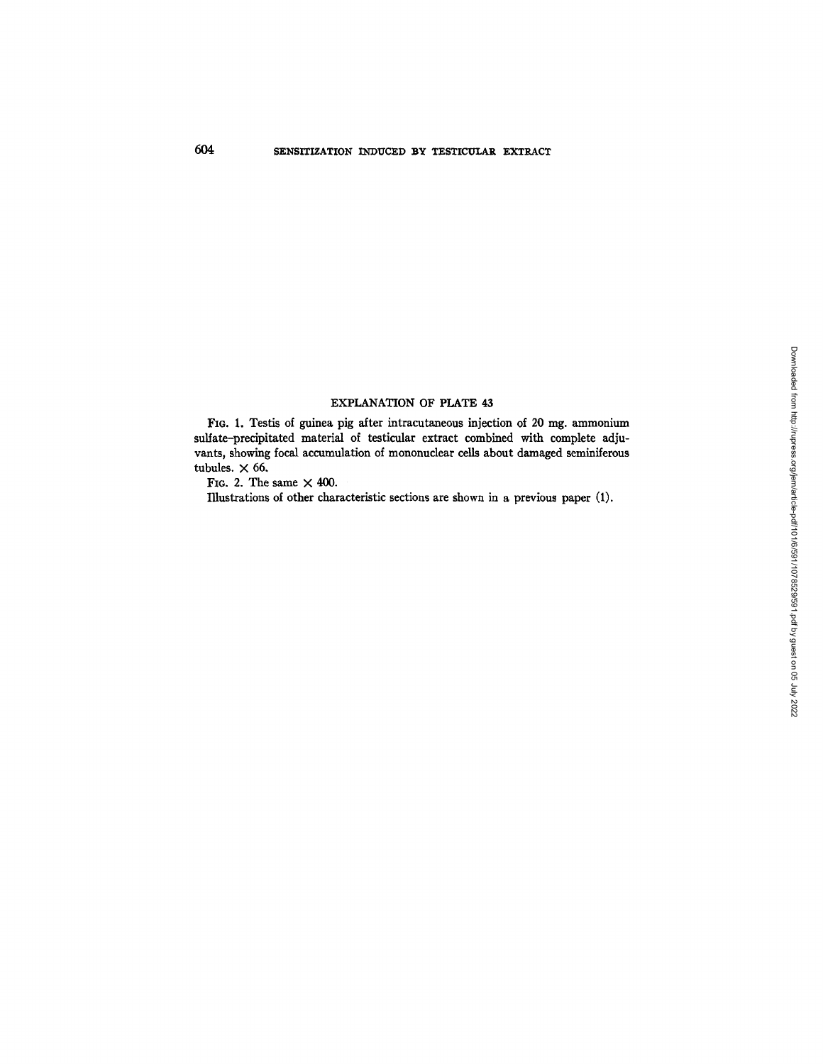## EXPLANATION OF PLATE 43

FIG. 1. Testis of guinea pig after intracutaneous injection of 20 mg. ammonium sulfate-precipitated material of testicular extract combined with complete adjuvants, showing focal accumulation of mononuclear cells about damaged seminiferous tubules.  $\times$  66.

FIG. 2. The same  $\times$  400.

Illustrations of other characteristic sections are shown in a previous paper (1).